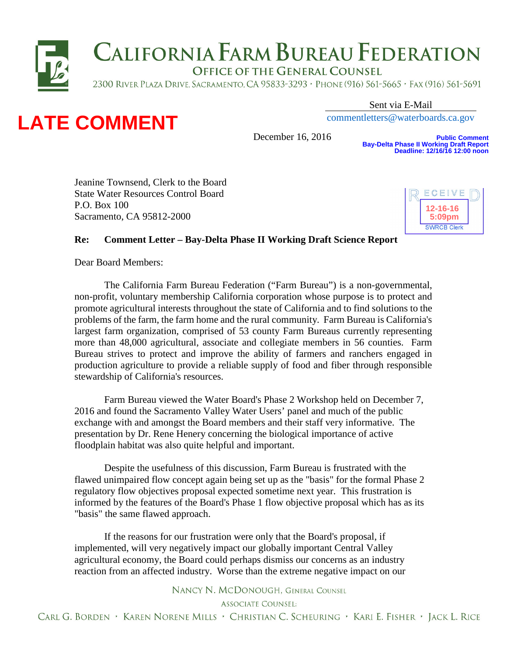



Sent via E-Mail

[commentletters@waterboards.ca.gov](mailto:commentletters@waterboards.ca.gov)

December 16, 2016

**Public Comment Bay-Delta Phase II Working Draft Report Deadline: 12/16/16 12:00 noon**

Jeanine Townsend, Clerk to the Board State Water Resources Control Board P.O. Box 100 Sacramento, CA 95812-2000



## **Re: Comment Letter – Bay-Delta Phase II Working Draft Science Report**

Dear Board Members:

The California Farm Bureau Federation ("Farm Bureau") is a non-governmental, non-profit, voluntary membership California corporation whose purpose is to protect and promote agricultural interests throughout the state of California and to find solutions to the problems of the farm, the farm home and the rural community. Farm Bureau is California's largest farm organization, comprised of [53 county Farm Bureaus c](http://www.cfbf.com/CFBF/CountyFarmBureaus/CFBF/CountyFarmBureaus/Default.aspx)urrently representing more than 48,000 agricultural, associate and collegiate members in 56 counties. Farm Bureau strives to protect and improve the ability of farmers and ranchers engaged in production agriculture to provide a reliable supply of food and fiber through responsible stewardship of California's resources.

Farm Bureau viewed the Water Board's Phase 2 Workshop held on December 7, 2016 and found the Sacramento Valley Water Users' panel and much of the public exchange with and amongst the Board members and their staff very informative. The presentation by Dr. Rene Henery concerning the biological importance of active floodplain habitat was also quite helpful and important.

Despite the usefulness of this discussion, Farm Bureau is frustrated with the flawed unimpaired flow concept again being set up as the "basis" for the formal Phase 2 regulatory flow objectives proposal expected sometime next year. This frustration is informed by the features of the Board's Phase 1 flow objective proposal which has as its "basis" the same flawed approach.

If the reasons for our frustration were only that the Board's proposal, if implemented, will very negatively impact our globally important Central Valley agricultural economy, the Board could perhaps dismiss our concerns as an industry reaction from an affected industry. Worse than the extreme negative impact on our

NANCY N. MCDONOUGH, GENERAL COUNSEL

**ASSOCIATE COUNSEL:**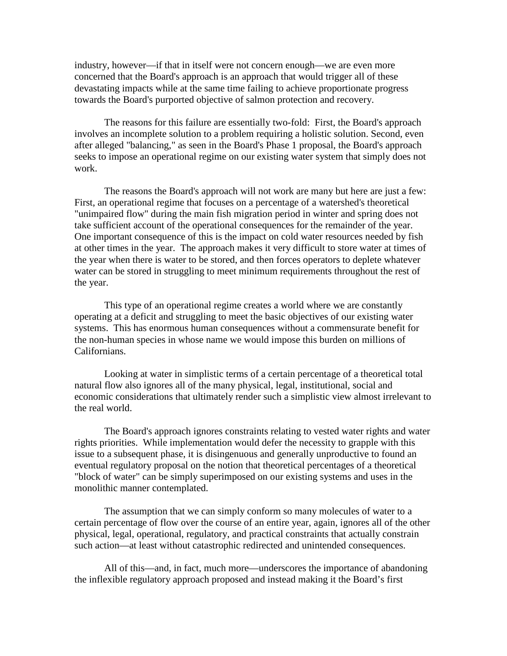industry, however—if that in itself were not concern enough—we are even more concerned that the Board's approach is an approach that would trigger all of these devastating impacts while at the same time failing to achieve proportionate progress towards the Board's purported objective of salmon protection and recovery.

The reasons for this failure are essentially two-fold: First, the Board's approach involves an incomplete solution to a problem requiring a holistic solution. Second, even after alleged "balancing," as seen in the Board's Phase 1 proposal, the Board's approach seeks to impose an operational regime on our existing water system that simply does not work.

The reasons the Board's approach will not work are many but here are just a few: First, an operational regime that focuses on a percentage of a watershed's theoretical "unimpaired flow" during the main fish migration period in winter and spring does not take sufficient account of the operational consequences for the remainder of the year. One important consequence of this is the impact on cold water resources needed by fish at other times in the year. The approach makes it very difficult to store water at times of the year when there is water to be stored, and then forces operators to deplete whatever water can be stored in struggling to meet minimum requirements throughout the rest of the year.

This type of an operational regime creates a world where we are constantly operating at a deficit and struggling to meet the basic objectives of our existing water systems. This has enormous human consequences without a commensurate benefit for the non-human species in whose name we would impose this burden on millions of Californians.

Looking at water in simplistic terms of a certain percentage of a theoretical total natural flow also ignores all of the many physical, legal, institutional, social and economic considerations that ultimately render such a simplistic view almost irrelevant to the real world.

The Board's approach ignores constraints relating to vested water rights and water rights priorities. While implementation would defer the necessity to grapple with this issue to a subsequent phase, it is disingenuous and generally unproductive to found an eventual regulatory proposal on the notion that theoretical percentages of a theoretical "block of water" can be simply superimposed on our existing systems and uses in the monolithic manner contemplated.

The assumption that we can simply conform so many molecules of water to a certain percentage of flow over the course of an entire year, again, ignores all of the other physical, legal, operational, regulatory, and practical constraints that actually constrain such action—at least without catastrophic redirected and unintended consequences.

All of this—and, in fact, much more—underscores the importance of abandoning the inflexible regulatory approach proposed and instead making it the Board's first